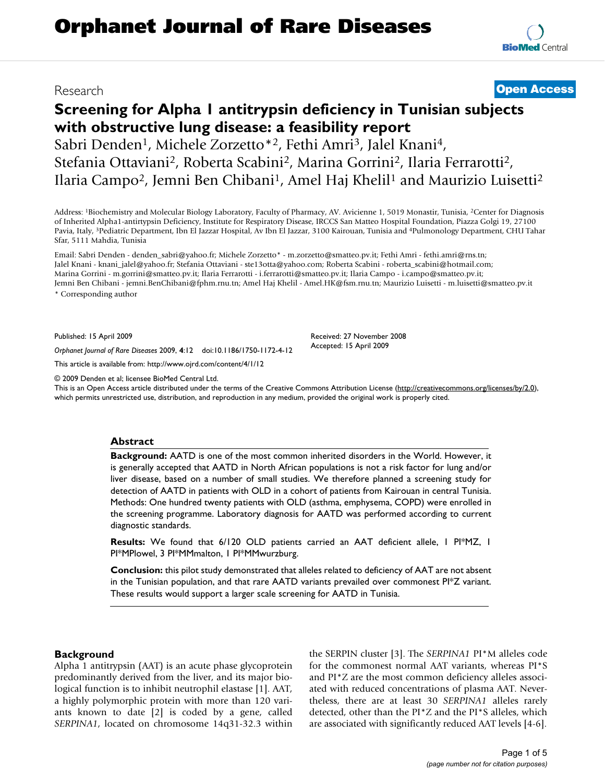# Research **[Open Access](http://www.biomedcentral.com/info/about/charter/)**

# **Screening for Alpha 1 antitrypsin deficiency in Tunisian subjects with obstructive lung disease: a feasibility report** Sabri Denden<sup>1</sup>, Michele Zorzetto<sup>\*2</sup>, Fethi Amri<sup>3</sup>, Jalel Knani<sup>4</sup>,

Stefania Ottaviani2, Roberta Scabini2, Marina Gorrini2, Ilaria Ferrarotti2, Ilaria Campo<sup>2</sup>, Jemni Ben Chibani<sup>1</sup>, Amel Haj Khelil<sup>1</sup> and Maurizio Luisetti<sup>2</sup>

Address: 1Biochemistry and Molecular Biology Laboratory, Faculty of Pharmacy, AV. Avicienne 1, 5019 Monastir, Tunisia, 2Center for Diagnosis of Inherited Alpha1-antirtypsin Deficiency, Institute for Respiratory Disease, IRCCS San Matteo Hospital Foundation, Piazza Golgi 19, 27100 Pavia, Italy, 3Pediatric Department, Ibn El Jazzar Hospital, Av Ibn El Jazzar, 3100 Kairouan, Tunisia and 4Pulmonology Department, CHU Tahar Sfar, 5111 Mahdia, Tunisia

Email: Sabri Denden - denden\_sabri@yahoo.fr; Michele Zorzetto\* - m.zorzetto@smatteo.pv.it; Fethi Amri - fethi.amri@rns.tn; Jalel Knani - knani\_jalel@yahoo.fr; Stefania Ottaviani - ste13otta@yahoo.com; Roberta Scabini - roberta\_scabini@hotmail.com; Marina Gorrini - m.gorrini@smatteo.pv.it; Ilaria Ferrarotti - i.ferrarotti@smatteo.pv.it; Ilaria Campo - i.campo@smatteo.pv.it; Jemni Ben Chibani - jemni.BenChibani@fphm.rnu.tn; Amel Haj Khelil - Amel.HK@fsm.rnu.tn; Maurizio Luisetti - m.luisetti@smatteo.pv.it \* Corresponding author

Published: 15 April 2009

*Orphanet Journal of Rare Diseases* 2009, **4**:12 doi:10.1186/1750-1172-4-12

[This article is available from: http://www.ojrd.com/content/4/1/12](http://www.ojrd.com/content/4/1/12)

© 2009 Denden et al; licensee BioMed Central Ltd.

This is an Open Access article distributed under the terms of the Creative Commons Attribution License [\(http://creativecommons.org/licenses/by/2.0\)](http://creativecommons.org/licenses/by/2.0), which permits unrestricted use, distribution, and reproduction in any medium, provided the original work is properly cited.

Received: 27 November 2008 Accepted: 15 April 2009

#### **Abstract**

**Background:** AATD is one of the most common inherited disorders in the World. However, it is generally accepted that AATD in North African populations is not a risk factor for lung and/or liver disease, based on a number of small studies. We therefore planned a screening study for detection of AATD in patients with OLD in a cohort of patients from Kairouan in central Tunisia. Methods: One hundred twenty patients with OLD (asthma, emphysema, COPD) were enrolled in the screening programme. Laboratory diagnosis for AATD was performed according to current diagnostic standards.

**Results:** We found that 6/120 OLD patients carried an AAT deficient allele, 1 PI\*MZ, 1 PI\*MPlowel, 3 PI\*MMmalton, 1 PI\*MMwurzburg.

**Conclusion:** this pilot study demonstrated that alleles related to deficiency of AAT are not absent in the Tunisian population, and that rare AATD variants prevailed over commonest  $Pi^*Z$  variant. These results would support a larger scale screening for AATD in Tunisia.

## **Background**

Alpha 1 antitrypsin (AAT) is an acute phase glycoprotein predominantly derived from the liver, and its major biological function is to inhibit neutrophil elastase [1]. AAT, a highly polymorphic protein with more than 120 variants known to date [2] is coded by a gene, called *SERPINA1*, located on chromosome 14q31-32.3 within the SERPIN cluster [3]. The *SERPINA1* PI\*M alleles code for the commonest normal AAT variants, whereas PI\*S and PI\*Z are the most common deficiency alleles associated with reduced concentrations of plasma AAT. Nevertheless, there are at least 30 *SERPINA1* alleles rarely detected, other than the PI\*Z and the PI\*S alleles, which are associated with significantly reduced AAT levels [4-6].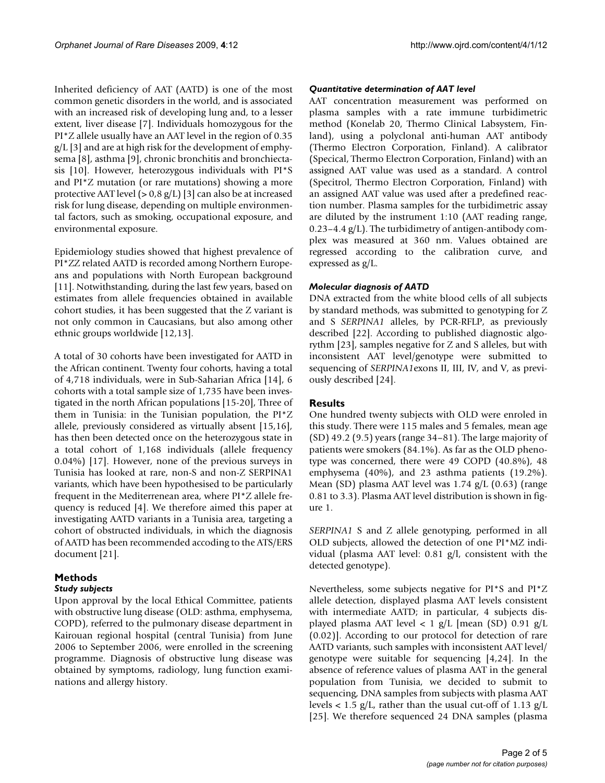Inherited deficiency of AAT (AATD) is one of the most common genetic disorders in the world, and is associated with an increased risk of developing lung and, to a lesser extent, liver disease [7]. Individuals homozygous for the PI\*Z allele usually have an AAT level in the region of 0.35 g/L [3] and are at high risk for the development of emphysema [8], asthma [9], chronic bronchitis and bronchiectasis [10]. However, heterozygous individuals with PI\*S and PI\*Z mutation (or rare mutations) showing a more protective AAT level (> 0,8 g/L) [3] can also be at increased risk for lung disease, depending on multiple environmental factors, such as smoking, occupational exposure, and environmental exposure.

Epidemiology studies showed that highest prevalence of PI\*ZZ related AATD is recorded among Northern Europeans and populations with North European background [11]. Notwithstanding, during the last few years, based on estimates from allele frequencies obtained in available cohort studies, it has been suggested that the Z variant is not only common in Caucasians, but also among other ethnic groups worldwide [12,13].

A total of 30 cohorts have been investigated for AATD in the African continent. Twenty four cohorts, having a total of 4,718 individuals, were in Sub-Saharian Africa [14], 6 cohorts with a total sample size of 1,735 have been investigated in the north African populations [15-20], Three of them in Tunisia: in the Tunisian population, the PI\*Z allele, previously considered as virtually absent [15,16], has then been detected once on the heterozygous state in a total cohort of 1,168 individuals (allele frequency 0.04%) [17]. However, none of the previous surveys in Tunisia has looked at rare, non-S and non-Z SERPINA1 variants, which have been hypothesised to be particularly frequent in the Mediterrenean area, where PI\*Z allele frequency is reduced [4]. We therefore aimed this paper at investigating AATD variants in a Tunisia area, targeting a cohort of obstructed individuals, in which the diagnosis of AATD has been recommended accoding to the ATS/ERS document [21].

## **Methods**

## *Study subjects*

Upon approval by the local Ethical Committee, patients with obstructive lung disease (OLD: asthma, emphysema, COPD), referred to the pulmonary disease department in Kairouan regional hospital (central Tunisia) from June 2006 to September 2006, were enrolled in the screening programme. Diagnosis of obstructive lung disease was obtained by symptoms, radiology, lung function examinations and allergy history.

#### *Quantitative determination of AAT level*

AAT concentration measurement was performed on plasma samples with a rate immune turbidimetric method (Konelab 20, Thermo Clinical Labsystem, Finland), using a polyclonal anti-human AAT antibody (Thermo Electron Corporation, Finland). A calibrator (Specical, Thermo Electron Corporation, Finland) with an assigned AAT value was used as a standard. A control (Specitrol, Thermo Electron Corporation, Finland) with an assigned AAT value was used after a predefined reaction number. Plasma samples for the turbidimetric assay are diluted by the instrument 1:10 (AAT reading range, 0.23–4.4 g/L). The turbidimetry of antigen-antibody complex was measured at 360 nm. Values obtained are regressed according to the calibration curve, and expressed as g/L.

#### *Molecular diagnosis of AATD*

DNA extracted from the white blood cells of all subjects by standard methods, was submitted to genotyping for Z and S *SERPINA1* alleles, by PCR-RFLP, as previously described [22]. According to published diagnostic algorythm [23], samples negative for Z and S alleles, but with inconsistent AAT level/genotype were submitted to sequencing of *SERPINA1*exons II, III, IV, and V, as previously described [24].

## **Results**

One hundred twenty subjects with OLD were enroled in this study. There were 115 males and 5 females, mean age (SD) 49.2 (9.5) years (range 34–81). The large majority of patients were smokers (84.1%). As far as the OLD phenotype was concerned, there were 49 COPD (40.8%), 48 emphysema (40%), and 23 asthma patients (19.2%). Mean (SD) plasma AAT level was 1.74 g/L (0.63) (range 0.81 to 3.3). Plasma AAT level distribution is shown in figure 1.

*SERPINA1* S and Z allele genotyping, performed in all OLD subjects, allowed the detection of one PI\*MZ individual (plasma AAT level: 0.81 g/l, consistent with the detected genotype).

Nevertheless, some subjects negative for PI\*S and PI\*Z allele detection, displayed plasma AAT levels consistent with intermediate AATD; in particular, 4 subjects displayed plasma AAT level < 1 g/L [mean (SD) 0.91 g/L (0.02)]. According to our protocol for detection of rare AATD variants, such samples with inconsistent AAT level/ genotype were suitable for sequencing [4,24]. In the absence of reference values of plasma AAT in the general population from Tunisia, we decided to submit to sequencing, DNA samples from subjects with plasma AAT levels  $< 1.5$  g/L, rather than the usual cut-off of 1.13 g/L [25]. We therefore sequenced 24 DNA samples (plasma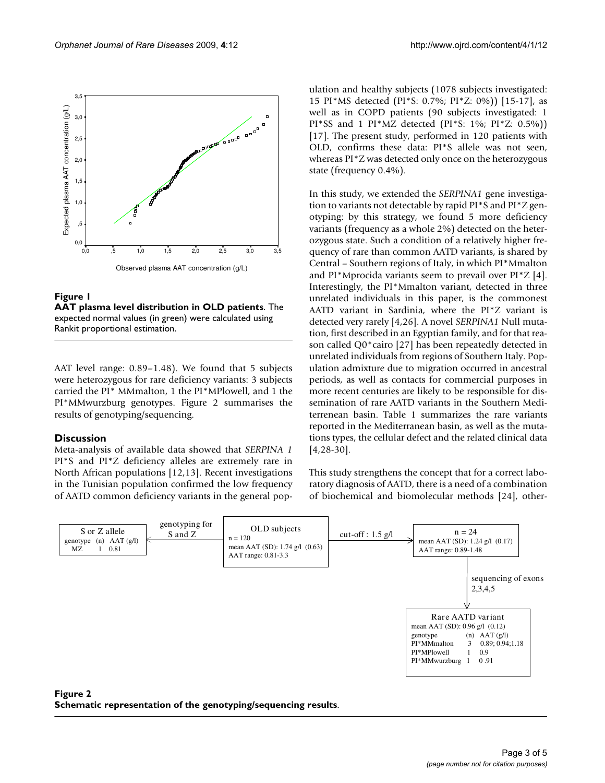

# Figure 1

**AAT plasma level distribution in OLD patients**. The expected normal values (in green) were calculated using Rankit proportional estimation.

AAT level range: 0.89–1.48). We found that 5 subjects were heterozygous for rare deficiency variants: 3 subjects carried the PI\* MMmalton, 1 the PI\*MPlowell, and 1 the PI\*MMwurzburg genotypes. Figure 2 summarises the results of genotyping/sequencing.

## **Discussion**

Meta-analysis of available data showed that *SERPINA 1* PI\*S and PI\*Z deficiency alleles are extremely rare in North African populations [12,13]. Recent investigations in the Tunisian population confirmed the low frequency of AATD common deficiency variants in the general population and healthy subjects (1078 subjects investigated: 15 PI\*MS detected (PI\*S: 0.7%; PI\*Z: 0%)) [15-17], as well as in COPD patients (90 subjects investigated: 1 PI\*SS and 1 PI\*MZ detected (PI\*S: 1%; PI\*Z: 0.5%)) [17]. The present study, performed in 120 patients with OLD, confirms these data: PI\*S allele was not seen, whereas PI\*Z was detected only once on the heterozygous state (frequency 0.4%).

In this study, we extended the *SERPINA1* gene investigation to variants not detectable by rapid PI\*S and PI\*Z genotyping: by this strategy, we found 5 more deficiency variants (frequency as a whole 2%) detected on the heterozygous state. Such a condition of a relatively higher frequency of rare than common AATD variants, is shared by Central – Southern regions of Italy, in which PI\*Mmalton and PI\*Mprocida variants seem to prevail over PI\*Z [4]. Interestingly, the PI\*Mmalton variant, detected in three unrelated individuals in this paper, is the commonest AATD variant in Sardinia, where the PI\*Z variant is detected very rarely [4,26]. A novel *SERPINA1* Null mutation, first described in an Egyptian family, and for that reason called Q0\*cairo [27] has been repeatedly detected in unrelated individuals from regions of Southern Italy. Population admixture due to migration occurred in ancestral periods, as well as contacts for commercial purposes in more recent centuries are likely to be responsible for dissemination of rare AATD variants in the Southern Mediterrenean basin. Table 1 summarizes the rare variants reported in the Mediterranean basin, as well as the mutations types, the cellular defect and the related clinical data [4,28-30].

This study strengthens the concept that for a correct laboratory diagnosis of AATD, there is a need of a combination of biochemical and biomolecular methods [24], other-



## Figure 2 **Schematic representation of the genotyping/sequencing results**.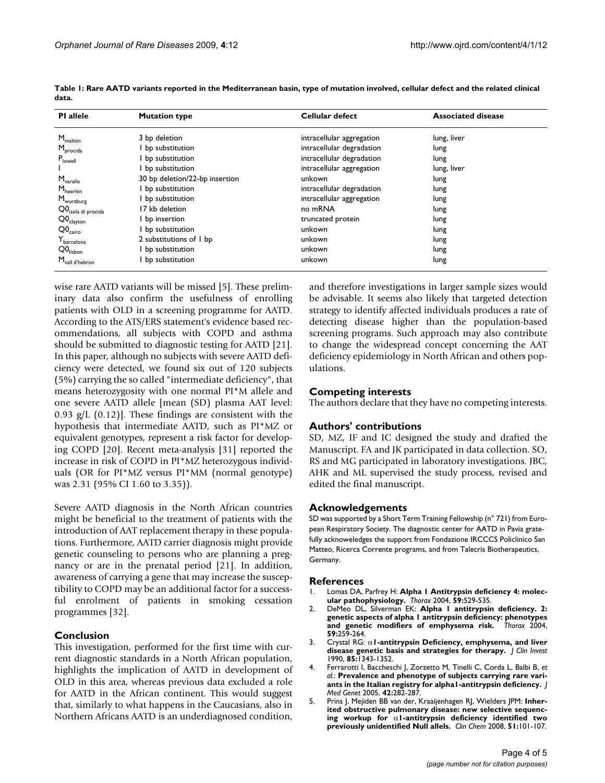| <b>PI</b> allele                  | <b>Mutation type</b>           | Cellular defect           | <b>Associated disease</b> |
|-----------------------------------|--------------------------------|---------------------------|---------------------------|
| $M_{\text{malton}}$               | 3 bp deletion                  | intracellular aggregation | lung, liver               |
| M <sub>procida</sub>              | bp substitution                | intracellular degradation | lung                      |
| $P_{\text{lowell}}$               | bp substitution                | intracellular degradation | lung                      |
|                                   | bp substitution                | intracellular aggregation | lung, liver               |
| $M_{\text{variable}}$             | 30 bp deletion/22-bp insertion | unkown                    | lung                      |
| $\mathsf{M}_{\mathsf{heerlen}}$   | bp substitution                | intracellular degradation | lung                      |
| M <sub>wurzburg</sub>             | bp substitution                | intracellular aggregation | lung                      |
| Q0 <sub>isola di procida</sub>    | 17 kb deletion                 | no mRNA                   | lung                      |
| $Q0_{\text{clayton}}$             | bp insertion                   | truncated protein         | lung                      |
| $Q0_{\text{cairo}}$               | bp substitution                | unkown                    | lung                      |
| $\mathsf{Y}_{\mathsf{barcelona}}$ | 2 substitutions of I bp        | unkown                    | lung                      |
| Q0 <sub>lisbon</sub>              | bp substitution                | unkown                    | lung                      |
| $M_{\text{vall}}$ d'hebron        | bp substitution                | unkown                    | lung                      |

**Table 1: Rare AATD variants reported in the Mediterranean basin, type of mutation involved, cellular defect and the related clinical data.**

wise rare AATD variants will be missed [5]. These preliminary data also confirm the usefulness of enrolling patients with OLD in a screening programme for AATD. According to the ATS/ERS statement's evidence based recommendations, all subjects with COPD and asthma should be submitted to diagnostic testing for AATD [21]. In this paper, although no subjects with severe AATD deficiency were detected, we found six out of 120 subjects (5%) carrying the so called "intermediate deficiency", that means heterozygosity with one normal PI\*M allele and one severe AATD allele [mean (SD) plasma AAT level: 0.93 g/L  $(0.12)$ ]. These findings are consistent with the hypothesis that intermediate AATD, such as PI\*MZ or equivalent genotypes, represent a risk factor for developing COPD [20]. Recent meta-analysis [31] reported the increase in risk of COPD in PI\*MZ heterozygous individuals (OR for PI\*MZ versus PI\*MM (normal genotype) was 2.31 (95% CI 1.60 to 3.35)).

Severe AATD diagnosis in the North African countries might be beneficial to the treatment of patients with the introduction of AAT replacement therapy in these populations. Furthermore, AATD carrier diagnosis might provide genetic counseling to persons who are planning a pregnancy or are in the prenatal period [21]. In addition, awareness of carrying a gene that may increase the susceptibility to COPD may be an additional factor for a successful enrolment of patients in smoking cessation programmes [32].

## **Conclusion**

This investigation, performed for the first time with current diagnostic standards in a North African population, highlights the implication of AATD in development of OLD in this area, whereas previous data excluded a role for AATD in the African continent. This would suggest that, similarly to what happens in the Caucasians, also in Northern Africans AATD is an underdiagnosed condition,

and therefore investigations in larger sample sizes would be advisable. It seems also likely that targeted detection strategy to identify affected individuals produces a rate of detecting disease higher than the population-based screening programs. Such approach may also contribute to change the widespread concept concerning the AAT deficiency epidemiology in North African and others populations.

## **Competing interests**

The authors declare that they have no competing interests.

## **Authors' contributions**

SD, MZ, IF and IC designed the study and drafted the Manuscript. FA and JK participated in data collection. SO, RS and MG participated in laboratory investigations. JBC, AHK and ML supervised the study process, revised and edited the final manuscript.

## **Acknowledgements**

SD was supported by a Short Term Training Fellowship (n° 721) from European Respiratory Society. The diagnostic center for AATD in Pavia gratefully acknoweledges the support from Fondazione IRCCCS Policlinico San Matteo, Ricerca Corrente programs, and from Talecris Biotherapeutics, Germany.

#### **References**

- Lomas DA, Parfrey H: Alpha I Antitrypsin deficiency 4: molec**[ular pathophysiology.](http://www.ncbi.nlm.nih.gov/entrez/query.fcgi?cmd=Retrieve&db=PubMed&dopt=Abstract&list_uids=15170041)** *Thorax* 2004, **59:**529-535.
- 2. DeMeo DL, Silverman EK: **[Alpha 1 antitrypsin deficiency. 2:](http://www.ncbi.nlm.nih.gov/entrez/query.fcgi?cmd=Retrieve&db=PubMed&dopt=Abstract&list_uids=14985567) [genetic aspects of alpha 1 antitrypsin deficiency: phenotypes](http://www.ncbi.nlm.nih.gov/entrez/query.fcgi?cmd=Retrieve&db=PubMed&dopt=Abstract&list_uids=14985567)** [and genetic modifiers of emphysema risk.](http://www.ncbi.nlm.nih.gov/entrez/query.fcgi?cmd=Retrieve&db=PubMed&dopt=Abstract&list_uids=14985567) **59:**259-264.
- 3. Crystal RG: α**[1-antitrypsin Deficiency, emphysema, and liver](http://www.ncbi.nlm.nih.gov/entrez/query.fcgi?cmd=Retrieve&db=PubMed&dopt=Abstract&list_uids=2185272) [disease genetic basis and strategies for therapy.](http://www.ncbi.nlm.nih.gov/entrez/query.fcgi?cmd=Retrieve&db=PubMed&dopt=Abstract&list_uids=2185272)** *J Clin Invest* 1990, **85:**1343-1352.
- 4. Ferrarotti I, Baccheschi J, Zorzetto M, Tinelli C, Corda L, Balbi B, *et al.*: **[Prevalence and phenotype of subjects carrying rare vari](http://www.ncbi.nlm.nih.gov/entrez/query.fcgi?cmd=Retrieve&db=PubMed&dopt=Abstract&list_uids=15744045)[ants in the Italian registry for alpha1-antitrypsin deficiency.](http://www.ncbi.nlm.nih.gov/entrez/query.fcgi?cmd=Retrieve&db=PubMed&dopt=Abstract&list_uids=15744045)** *J Med Genet* 2005, **42:**282-287.
- 5. Prins J, Mejiden BB van der, Kraaijenhagen RJ, Wielders JPM: **Inherited obstructive pulmonary disease: new selective sequencing workup for** α**1-antitrypsin deficiency identified two previously unidentified Null allels.** *Clin Chem* 2008, **51:**101-107.